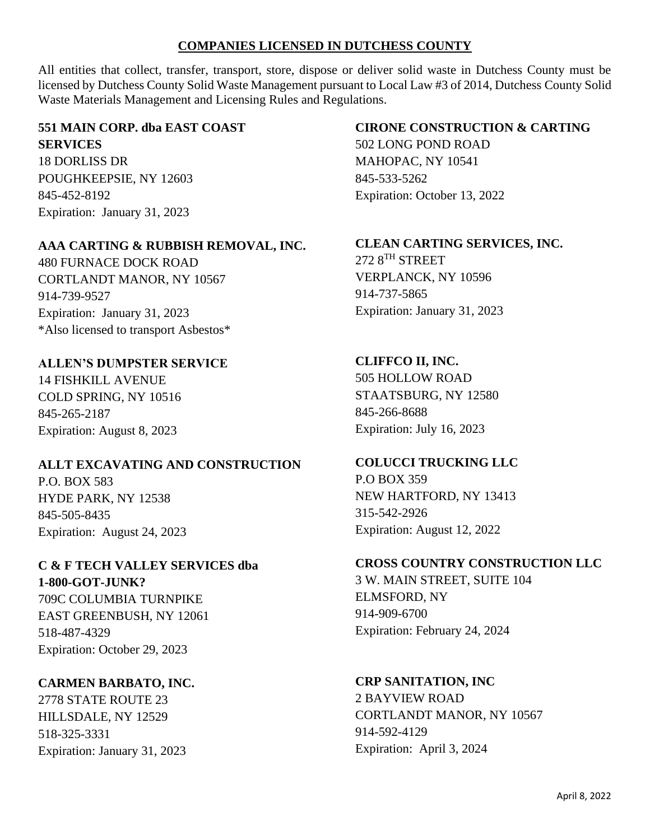# **COMPANIES LICENSED IN DUTCHESS COUNTY**

All entities that collect, transfer, transport, store, dispose or deliver solid waste in Dutchess County must be licensed by Dutchess County Solid Waste Management pursuant to Local Law #3 of 2014, Dutchess County Solid Waste Materials Management and Licensing Rules and Regulations.

# **551 MAIN CORP. dba EAST COAST SERVICES**

18 DORLISS DR POUGHKEEPSIE, NY 12603 845-452-8192 Expiration: January 31, 2023

# **AAA CARTING & RUBBISH REMOVAL, INC.**

480 FURNACE DOCK ROAD CORTLANDT MANOR, NY 10567 914-739-9527 Expiration: January 31, 2023 \*Also licensed to transport Asbestos\*

# **ALLEN'S DUMPSTER SERVICE**

14 FISHKILL AVENUE COLD SPRING, NY 10516 845-265-2187 Expiration: August 8, 2023

#### **ALLT EXCAVATING AND CONSTRUCTION**

P.O. BOX 583 HYDE PARK, NY 12538 845-505-8435 Expiration: August 24, 2023

#### **C & F TECH VALLEY SERVICES dba 1-800-GOT-JUNK?**

709C COLUMBIA TURNPIKE EAST GREENBUSH, NY 12061 518-487-4329 Expiration: October 29, 2023

# **CARMEN BARBATO, INC.**

2778 STATE ROUTE 23 HILLSDALE, NY 12529 518-325-3331 Expiration: January 31, 2023

# **CIRONE CONSTRUCTION & CARTING**

502 LONG POND ROAD MAHOPAC, NY 10541 845-533-5262 Expiration: October 13, 2022

# **CLEAN CARTING SERVICES, INC.**

272 8TH STREET VERPLANCK, NY 10596 914-737-5865 Expiration: January 31, 2023

# **CLIFFCO II, INC.**

505 HOLLOW ROAD STAATSBURG, NY 12580 845-266-8688 Expiration: July 16, 2023

#### **COLUCCI TRUCKING LLC**

P.O BOX 359 NEW HARTFORD, NY 13413 315-542-2926 Expiration: August 12, 2022

#### **CROSS COUNTRY CONSTRUCTION LLC**

3 W. MAIN STREET, SUITE 104 ELMSFORD, NY 914-909-6700 Expiration: February 24, 2024

#### **CRP SANITATION, INC**

2 BAYVIEW ROAD CORTLANDT MANOR, NY 10567 914-592-4129 Expiration: April 3, 2024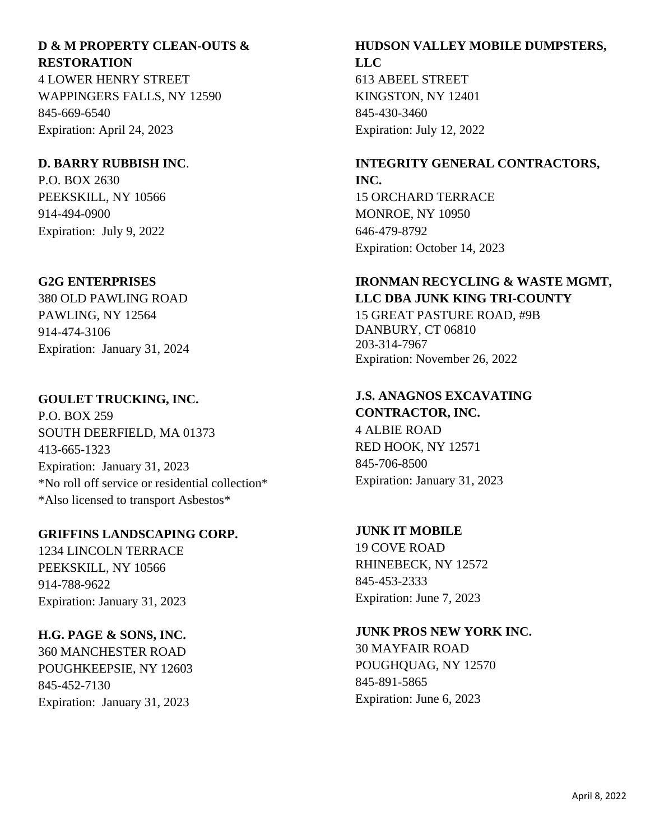# **D & M PROPERTY CLEAN-OUTS & RESTORATION**

4 LOWER HENRY STREET WAPPINGERS FALLS, NY 12590 845-669-6540 Expiration: April 24, 2023

# **D. BARRY RUBBISH INC**.

P.O. BOX 2630 PEEKSKILL, NY 10566 914-494-0900 Expiration: July 9, 2022

# **G2G ENTERPRISES**

380 OLD PAWLING ROAD PAWLING, NY 12564 914-474-3106 Expiration: January 31, 2024

# **GOULET TRUCKING, INC.**

P.O. BOX 259 SOUTH DEERFIELD, MA 01373 413-665-1323 Expiration: January 31, 2023 \*No roll off service or residential collection\* \*Also licensed to transport Asbestos\*

# **GRIFFINS LANDSCAPING CORP.**

1234 LINCOLN TERRACE PEEKSKILL, NY 10566 914-788-9622 Expiration: January 31, 2023

# **H.G. PAGE & SONS, INC.**

360 MANCHESTER ROAD POUGHKEEPSIE, NY 12603 845-452-7130 Expiration: January 31, 2023

# **HUDSON VALLEY MOBILE DUMPSTERS, LLC**

613 ABEEL STREET KINGSTON, NY 12401 845-430-3460 Expiration: July 12, 2022

#### **INTEGRITY GENERAL CONTRACTORS, INC.**

15 ORCHARD TERRACE MONROE, NY 10950 646-479-8792 Expiration: October 14, 2023

# **IRONMAN RECYCLING & WASTE MGMT, LLC DBA JUNK KING TRI-COUNTY**

15 GREAT PASTURE ROAD, #9B DANBURY, CT 06810 203-314-7967 Expiration: November 26, 2022

## **J.S. ANAGNOS EXCAVATING CONTRACTOR, INC.**

4 ALBIE ROAD RED HOOK, NY 12571 845-706-8500 Expiration: January 31, 2023

# **JUNK IT MOBILE**

19 COVE ROAD RHINEBECK, NY 12572 845-453-2333 Expiration: June 7, 2023

# **JUNK PROS NEW YORK INC.**

30 MAYFAIR ROAD POUGHQUAG, NY 12570 845-891-5865 Expiration: June 6, 2023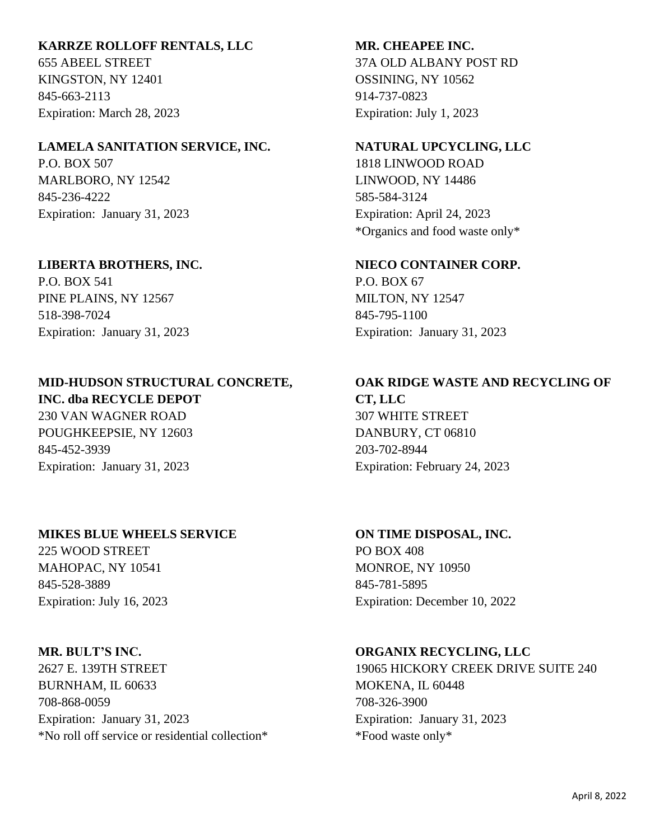#### **KARRZE ROLLOFF RENTALS, LLC**

655 ABEEL STREET KINGSTON, NY 12401 845-663-2113 Expiration: March 28, 2023

#### **LAMELA SANITATION SERVICE, INC.**

P.O. BOX 507 MARLBORO, NY 12542 845-236-4222 Expiration: January 31, 2023

#### **LIBERTA BROTHERS, INC.**

P.O. BOX 541 PINE PLAINS, NY 12567 518-398-7024 Expiration: January 31, 2023

#### **MID-HUDSON STRUCTURAL CONCRETE, INC. dba RECYCLE DEPOT**

230 VAN WAGNER ROAD POUGHKEEPSIE, NY 12603 845-452-3939 Expiration: January 31, 2023

#### **MIKES BLUE WHEELS SERVICE**

225 WOOD STREET MAHOPAC, NY 10541 845-528-3889 Expiration: July 16, 2023

#### **MR. BULT'S INC.**

2627 E. 139TH STREET BURNHAM, IL 60633 708-868-0059 Expiration: January 31, 2023 \*No roll off service or residential collection\*

#### **MR. CHEAPEE INC.**

37A OLD ALBANY POST RD OSSINING, NY 10562 914-737-0823 Expiration: July 1, 2023

#### **NATURAL UPCYCLING, LLC**

1818 LINWOOD ROAD LINWOOD, NY 14486 585-584-3124 Expiration: April 24, 2023 \*Organics and food waste only\*

#### **NIECO CONTAINER CORP.**

P.O. BOX 67 MILTON, NY 12547 845-795-1100 Expiration: January 31, 2023

# **OAK RIDGE WASTE AND RECYCLING OF CT, LLC** 307 WHITE STREET

DANBURY, CT 06810 203-702-8944 Expiration: February 24, 2023

# **ON TIME DISPOSAL, INC.**

PO BOX 408 MONROE, NY 10950 845-781-5895 Expiration: December 10, 2022

#### **ORGANIX RECYCLING, LLC**

19065 HICKORY CREEK DRIVE SUITE 240 MOKENA, IL 60448 708-326-3900 Expiration: January 31, 2023 \*Food waste only\*